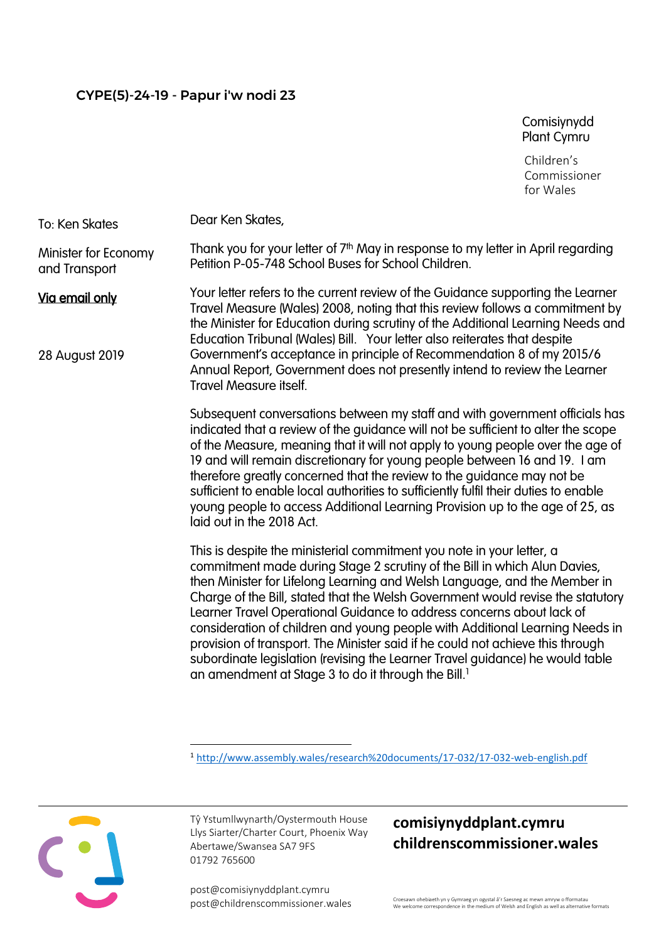Comisiynydd Plant Cymru

Children's Commissioner for Wales

Dear Ken Skates, To: Ken Skates

Thank you for your letter of 7<sup>th</sup> May in response to my letter in April regarding Petition P-05-748 School Buses for School Children. Minister for Economy and Transport

Via email only

28 August 2019

Your letter refers to the current review of the Guidance supporting the Learner Travel Measure (Wales) 2008, noting that this review follows a commitment by the Minister for Education during scrutiny of the Additional Learning Needs and Education Tribunal (Wales) Bill. Your letter also reiterates that despite Government's acceptance in principle of Recommendation 8 of my 2015/6 Annual Report, Government does not presently intend to review the Learner Travel Measure itself.

Subsequent conversations between my staff and with government officials has indicated that a review of the guidance will not be sufficient to alter the scope of the Measure, meaning that it will not apply to young people over the age of 19 and will remain discretionary for young people between 16 and 19. I am therefore greatly concerned that the review to the guidance may not be sufficient to enable local authorities to sufficiently fulfil their duties to enable young people to access Additional Learning Provision up to the age of 25, as laid out in the 2018 Act.

This is despite the ministerial commitment you note in your letter, a commitment made during Stage 2 scrutiny of the Bill in which Alun Davies, then Minister for Lifelong Learning and Welsh Language, and the Member in Charge of the Bill, stated that the Welsh Government would revise the statutory Learner Travel Operational Guidance to address concerns about lack of consideration of children and young people with Additional Learning Needs in provision of transport. The Minister said if he could not achieve this through subordinate legislation (revising the Learner Travel guidance) he would table an amendment at Stage 3 to do it through the Bill.<sup>1</sup>

Tŷ Ystumllwynarth/Oystermouth House Llys Siarter/Charter Court, Phoenix Way Abertawe/Swansea SA7 9FS 01792 765600

post@comisiynyddplant.cymru

## **comisiynyddplant.cymru childrenscommissioner.wales**

post@childrenscommissioner.wales Croesawn ohebiaeth yn y Gymraeg yn ogystal â'r Saesneg ac mewn amryw o fformatau<br>We welcome correspondence in the medium of Welsh and English as well as alternative formats

<sup>1</sup> <http://www.assembly.wales/research%20documents/17-032/17-032-web-english.pdf>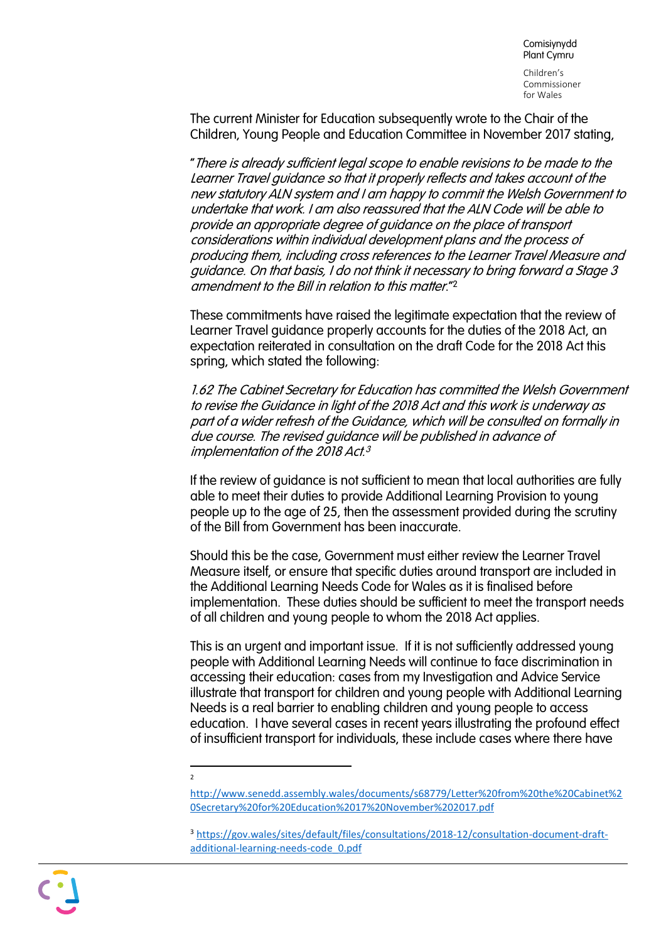Children's Commissioner for Wales

The current Minister for Education subsequently wrote to the Chair of the Children, Young People and Education Committee in November 2017 stating,

"There is already sufficient legal scope to enable revisions to be made to the Learner Travel guidance so that it properly reflects and takes account of the new statutory ALN system and I am happy to commit the Welsh Government to undertake that work. I am also reassured that the ALN Code will be able to provide an appropriate degree of guidance on the place of transport considerations within individual development plans and the process of producing them, including cross references to the Learner Travel Measure and guidance. On that basis, I do not think it necessary to bring forward a Stage 3 amendment to the Bill in relation to this matter."<sup>2</sup>

These commitments have raised the legitimate expectation that the review of Learner Travel guidance properly accounts for the duties of the 2018 Act, an expectation reiterated in consultation on the draft Code for the 2018 Act this spring, which stated the following:

1.62 The Cabinet Secretary for Education has committed the Welsh Government to revise the Guidance in light of the 2018 Act and this work is underway as part of a wider refresh of the Guidance, which will be consulted on formally in due course. The revised guidance will be published in advance of implementation of the 2018 Act. 3

If the review of guidance is not sufficient to mean that local authorities are fully able to meet their duties to provide Additional Learning Provision to young people up to the age of 25, then the assessment provided during the scrutiny of the Bill from Government has been inaccurate.

Should this be the case, Government must either review the Learner Travel Measure itself, or ensure that specific duties around transport are included in the Additional Learning Needs Code for Wales as it is finalised before implementation. These duties should be sufficient to meet the transport needs of all children and young people to whom the 2018 Act applies.

This is an urgent and important issue. If it is not sufficiently addressed young people with Additional Learning Needs will continue to face discrimination in accessing their education: cases from my Investigation and Advice Service illustrate that transport for children and young people with Additional Learning Needs is a real barrier to enabling children and young people to access education. I have several cases in recent years illustrating the profound effect of insufficient transport for individuals, these include cases where there have

 $\overline{2}$ 

[http://www.senedd.assembly.wales/documents/s68779/Letter%20from%20the%20Cabinet%2](http://www.senedd.assembly.wales/documents/s68779/Letter%20from%20the%20Cabinet%20Secretary%20for%20Education%2017%20November%202017.pdf) [0Secretary%20for%20Education%2017%20November%202017.pdf](http://www.senedd.assembly.wales/documents/s68779/Letter%20from%20the%20Cabinet%20Secretary%20for%20Education%2017%20November%202017.pdf)

<sup>&</sup>lt;sup>3</sup> [https://gov.wales/sites/default/files/consultations/2018-12/consultation-document-draft](https://gov.wales/sites/default/files/consultations/2018-12/consultation-document-draft-additional-learning-needs-code_0.pdf)[additional-learning-needs-code\\_0.pdf](https://gov.wales/sites/default/files/consultations/2018-12/consultation-document-draft-additional-learning-needs-code_0.pdf)